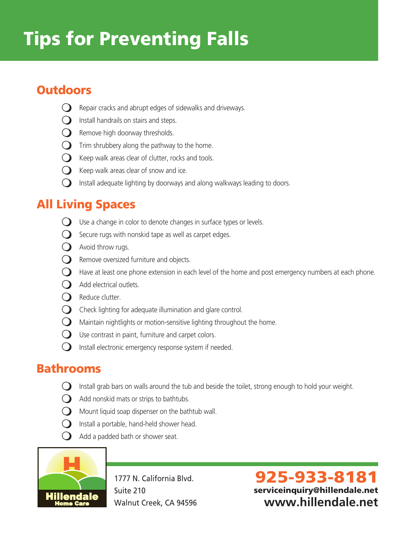# Tips for Preventing Falls

# **Outdoors**

- $\bigcirc$  Repair cracks and abrupt edges of sidewalks and driveways.
- $\bigcirc$  Install handrails on stairs and steps.
- $\bigcirc$  Remove high doorway thresholds.
- $\bigcirc$  Trim shrubbery along the pathway to the home.
- $\bigcirc$  Keep walk areas clear of clutter, rocks and tools.
- $\bigcirc$  Keep walk areas clear of snow and ice.
- $\bigcirc$  Install adequate lighting by doorways and along walkways leading to doors.

# All Living Spaces

- $\bigcirc$  Use a change in color to denote changes in surface types or levels.
- $\bigcirc$  Secure rugs with nonskid tape as well as carpet edges.
- $\bigcirc$  Avoid throw rugs.
- $\bigcirc$  Remove oversized furniture and objects.
- $\bigcirc$  Have at least one phone extension in each level of the home and post emergency numbers at each phone.
- $\bigcap$  Add electrical outlets.
- $\Omega$  Reduce clutter.
- $\bigcirc$  Check lighting for adequate illumination and glare control.
- $\bigcirc$  Maintain nightlights or motion-sensitive lighting throughout the home.
- $\bigcirc$  Use contrast in paint, furniture and carpet colors.
- $\bigcirc$  Install electronic emergency response system if needed.

#### Bathrooms

- $\bigcirc$  Install grab bars on walls around the tub and beside the toilet, strong enough to hold your weight.
- $\Omega$  Add nonskid mats or strips to bathtubs.
- $\bigcirc$  Mount liquid soap dispenser on the bathtub wall.
- $\bigcup$  Install a portable, hand-held shower head.
- $\bigcirc$  Add a padded bath or shower seat.



1777 N. California Blvd. Suite 210 Walnut Creek, CA 94596

925-933-8181 serviceinquiry@hillendale.net **www.hillendale.net**